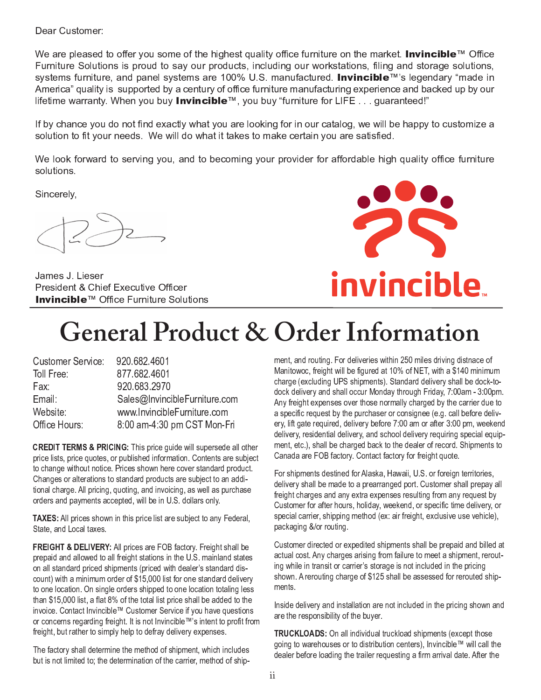Dear Customer:

We are pleased to offer you some of the highest quality office furniture on the market. **Invincible**™ Office Furniture Solutions is proud to say our products, including our workstations, filing and storage solutions, systems furniture, and panel systems are 100% U.S. manufactured. Invincible™'s legendary "made in America" quality is supported by a century of office furniture manufacturing experience and backed up by our lifetime warranty. When you buy Invincible™, you buy "furniture for LIFE . . . guaranteed!"

If by chance you do not find exactly what you are looking for in our catalog, we will be happy to customize a solution to fit your needs. We will do what it takes to make certain you are satisfied.

We look forward to serving you, and to becoming your provider for affordable high quality office furniture solutions.

Sincerely,

James J. Lieser President & Chief Executive Officer Invincible™ Office Furniture Solutions



# **General Product & Order Information**

| 920.682.4601                  |
|-------------------------------|
| 877.682.4601                  |
| 920.683.2970                  |
| Sales@InvincibleFurniture.com |
| www.InvincibleFurniture.com   |
| 8:00 am-4:30 pm CST Mon-Fri   |
|                               |

**CREDIT TERMS & PRICING:** This price guide will supersede all other price lists, price quotes, or published information. Contents are subject to change without notice. Prices shown here cover standard product. Changes or alterations to standard products are subject to an additional charge. All pricing, quoting, and invoicing, as well as purchase orders and payments accepted, will be in U.S. dollars only.

**TAXES:** All prices shown in this price list are subject to any Federal, State, and Local taxes.

**FREIGHT & DELIVERY:** All prices are FOB factory. Freight shall be prepaid and allowed to all freight stations in the U.S. mainland states on all standard priced shipments (priced with dealer's standard discount) with a minimum order of \$15,000 list for one standard delivery to one location. On single orders shipped to one location totaling less than \$15,000 list, a flat 8% of the total list price shall be added to the invoice. Contact Invincible™ Customer Service if you have questions or concerns regarding freight. It is not Invincible™'s intent to profit from freight, but rather to simply help to defray delivery expenses.

The factory shall determine the method of shipment, which includes but is not limited to; the determination of the carrier, method of shipment, and routing. For deliveries within 250 miles driving distnace of Manitowoc, freight will be figured at 10% of NET, with a \$140 minimum charge (excluding UPS shipments). Standard delivery shall be dock-todock delivery and shall occur Monday through Friday, 7:00am - 3:00pm. Any freight expenses over those normally charged by the carrier due to a specific request by the purchaser or consignee (e.g. call before delivery, lift gate required, delivery before 7:00 am or after 3:00 pm, weekend delivery, residential delivery, and school delivery requiring special equipment, etc.), shall be charged back to the dealer of record. Shipments to Canada are FOB factory. Contact factory for freight quote.

For shipments destined for Alaska, Hawaii, U.S. or foreign territories. delivery shall be made to a prearranged port. Customer shall prepay all freight charges and any extra expenses resulting from any request by Customer for after hours, holiday, weekend, or specific time delivery, or special carrier, shipping method (ex: air freight, exclusive use vehicle), packaging &/or routing.

Customer directed or expedited shipments shall be prepaid and billed at actual cost. Any charges arising from failure to meet a shipment, rerouting while in transit or carrier's storage is not included in the pricing shown. A rerouting charge of \$125 shall be assessed for rerouted shipments.

Inside delivery and installation are not included in the pricing shown and are the responsibility of the buyer.

**TRUCKLOADS:** On all individual truckload shipments (except those going to warehouses or to distribution centers), Invincible™ will call the dealer before loading the trailer requesting a firm arrival date. After the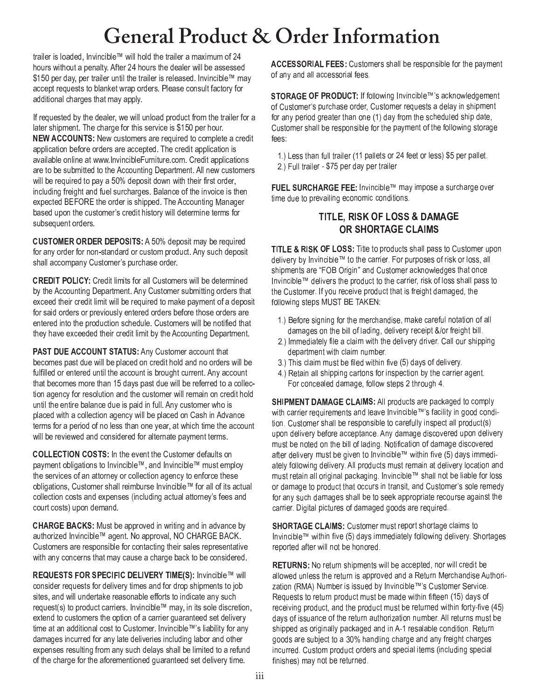### **General Product & Order Information**

trailer is loaded, Invincible™ will hold the trailer a maximum of 24 hours without a penalty. After 24 hours the dealer will be assessed \$150 per day, per trailer until the trailer is released. Invincible™ may accept requests to blanket wrap orders. Please consult factory for additional charges that may apply.

If requested by the dealer, we will unload product from the trailer for a later shipment. The charge for this service is \$150 per hour. NEW ACCOUNTS: New customers are required to complete a credit application before orders are accepted. The credit application is available online at www.InvincibleFurniture.com. Credit applications are to be submitted to the Accounting Department. All new customers will be required to pay a 50% deposit down with their first order, including freight and fuel surcharges. Balance of the invoice is then expected BEFORE the order is shipped. The Accounting Manager based upon the customer's credit history will determine terms for subsequent orders.

**CUSTOMER ORDER DEPOSITS: A 50% deposit may be required** for any order for non-standard or custom product. Any such deposit shall accompany Customer's purchase order.

**CREDIT POLICY:** Credit limits for all Customers will be determined by the Accounting Department. Any Customer submitting orders that exceed their credit limit will be required to make payment of a deposit for said orders or previously entered orders before those orders are entered into the production schedule. Customers will be notified that they have exceeded their credit limit by the Accounting Department.

**PAST DUE ACCOUNT STATUS:** Any Customer account that becomes past due will be placed on credit hold and no orders will be fulfilled or entered until the account is brought current. Any account that becomes more than 15 days past due will be referred to a collection agency for resolution and the customer will remain on credit hold until the entire balance due is paid in full. Any customer who is placed with a collection agency will be placed on Cash in Advance terms for a period of no less than one year, at which time the account will be reviewed and considered for alternate payment terms.

**COLLECTION COSTS:** In the event the Customer defaults on payment obligations to Invincible™, and Invincible™ must employ the services of an attorney or collection agency to enforce these obligations, Customer shall reimburse Invincible™ for all of its actual collection costs and expenses (including actual attorney's fees and court costs) upon demand.

**CHARGE BACKS:** Must be approved in writing and in advance by authorized Invincible™ agent. No approval, NO CHARGE BACK. Customers are responsible for contacting their sales representative with any concerns that may cause a charge back to be considered.

REQUESTS FOR SPECIFIC DELIVERY TIME(S): Invincible™ will consider requests for delivery times and for drop shipments to job sites, and will undertake reasonable efforts to indicate any such request(s) to product carriers. Invincible™ may, in its sole discretion, extend to customers the option of a carrier guaranteed set delivery time at an additional cost to Customer. Invincible™'s liability for any damages incurred for any late deliveries including labor and other expenses resulting from any such delays shall be limited to a refund of the charge for the aforementioned guaranteed set delivery time.

ACCESSORIAL FEES: Customers shall be responsible for the payment of any and all accessorial fees.

STORAGE OF PRODUCT: If following Invincible™'s acknowledgement of Customer's purchase order, Customer requests a delay in shipment for any period greater than one (1) day from the scheduled ship date, Customer shall be responsible for the payment of the following storage fees:

1.) Less than full trailer (11 pallets or 24 feet or less) \$5 per pallet. 2.) Full trailer - \$75 per day per trailer

FUEL SURCHARGE FEE: Invincible™ may impose a surcharge over time due to prevailing economic conditions.

### TITLE, RISK OF LOSS & DAMAGE OR SHORTAGE CLAIMS

**TITLE & RISK OF LOSS:** Title to products shall pass to Customer upon delivery by Invincible™ to the carrier. For purposes of risk or loss, all shipments are "FOB Origin" and Customer acknowledges that once Invincible™ delivers the product to the carrier, risk of loss shall pass to the Customer. If you receive product that is freight damaged, the following steps MUST BE TAKEN:

- 1.) Before signing for the merchandise, make careful notation of all damages on the bill of lading, delivery receipt &/or freight bill.
- 2.) Immediately file a claim with the delivery driver. Call our shipping department with claim number.
- 3.) This claim must be filed within five (5) days of delivery.
- 4.) Retain all shipping cartons for inspection by the carrier agent. For concealed damage, follow steps 2 through 4.

SHIPMENT DAMAGE CLAIMS: All products are packaged to comply with carrier requirements and leave Invincible™'s facility in good condition. Customer shall be responsible to carefully inspect all product(s) upon delivery before acceptance. Any damage discovered upon delivery must be noted on the bill of lading. Notification of damage discovered after delivery must be given to Invincible™ within five (5) days immediately following delivery. All products must remain at delivery location and must retain all original packaging. Invincible™ shall not be liable for loss or damage to product that occurs in transit, and Customer's sole remedy for any such damages shall be to seek appropriate recourse against the carrier. Digital pictures of damaged goods are required.

**SHORTAGE CLAIMS: Customer must report shortage claims to** Invincible™ within five (5) days immediately following delivery. Shortages reported after will not be honored.

RETURNS: No return shipments will be accepted, nor will credit be allowed unless the return is approved and a Return Merchandise Authorization (RMA) Number is issued by Invincible™'s Customer Service. Requests to return product must be made within fifteen (15) days of receiving product, and the product must be returned within forty-five (45) days of issuance of the return authorization number. All returns must be shipped as originally packaged and in A-1 resalable condition. Return goods are subject to a 30% handling charge and any freight charges incurred. Custom product orders and special items (including special finishes) may not be returned.